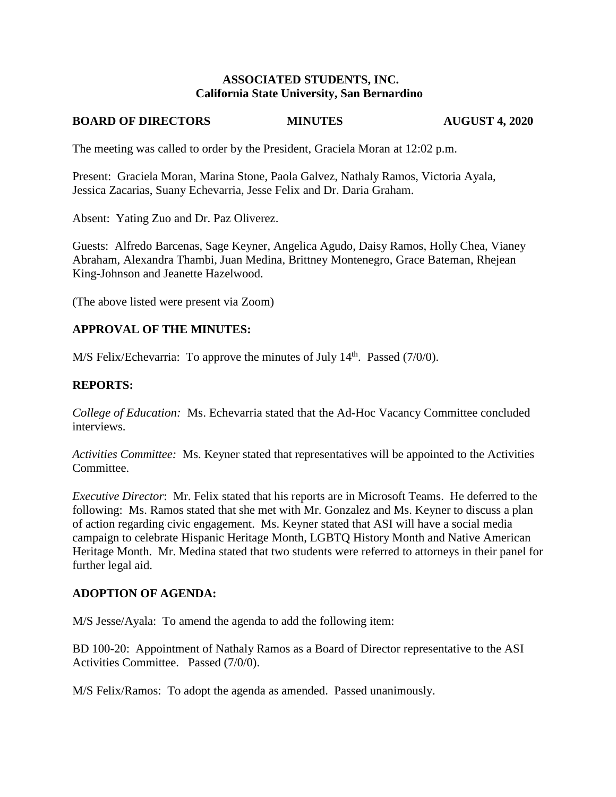#### **ASSOCIATED STUDENTS, INC. California State University, San Bernardino**

#### **BOARD OF DIRECTORS MINUTES AUGUST 4, 2020**

The meeting was called to order by the President, Graciela Moran at 12:02 p.m.

Present: Graciela Moran, Marina Stone, Paola Galvez, Nathaly Ramos, Victoria Ayala, Jessica Zacarias, Suany Echevarria, Jesse Felix and Dr. Daria Graham.

Absent: Yating Zuo and Dr. Paz Oliverez.

Guests: Alfredo Barcenas, Sage Keyner, Angelica Agudo, Daisy Ramos, Holly Chea, Vianey Abraham, Alexandra Thambi, Juan Medina, Brittney Montenegro, Grace Bateman, Rhejean King-Johnson and Jeanette Hazelwood.

(The above listed were present via Zoom)

# **APPROVAL OF THE MINUTES:**

M/S Felix/Echevarria: To approve the minutes of July  $14<sup>th</sup>$ . Passed (7/0/0).

# **REPORTS:**

*College of Education:* Ms. Echevarria stated that the Ad-Hoc Vacancy Committee concluded interviews.

*Activities Committee:* Ms. Keyner stated that representatives will be appointed to the Activities Committee.

*Executive Director*: Mr. Felix stated that his reports are in Microsoft Teams. He deferred to the following: Ms. Ramos stated that she met with Mr. Gonzalez and Ms. Keyner to discuss a plan of action regarding civic engagement. Ms. Keyner stated that ASI will have a social media campaign to celebrate Hispanic Heritage Month, LGBTQ History Month and Native American Heritage Month. Mr. Medina stated that two students were referred to attorneys in their panel for further legal aid.

# **ADOPTION OF AGENDA:**

M/S Jesse/Ayala: To amend the agenda to add the following item:

BD 100-20: Appointment of Nathaly Ramos as a Board of Director representative to the ASI Activities Committee. Passed (7/0/0).

M/S Felix/Ramos: To adopt the agenda as amended. Passed unanimously.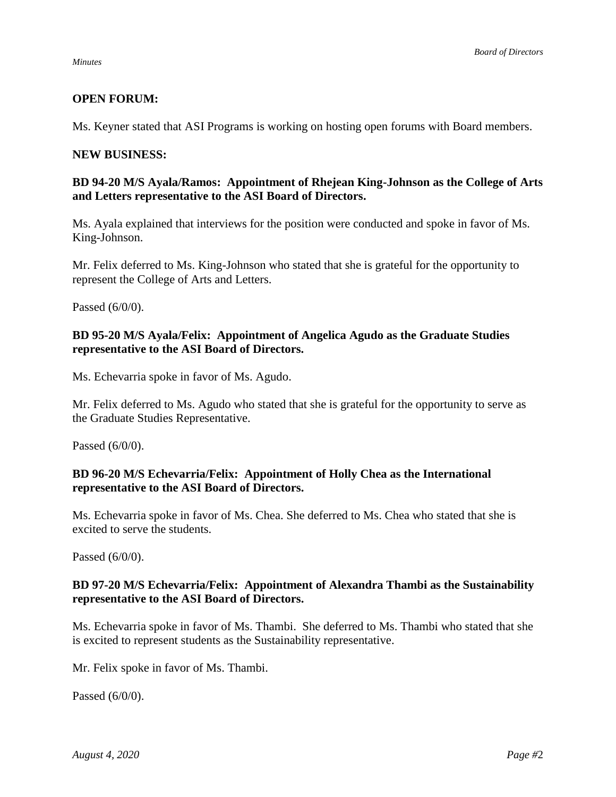## **OPEN FORUM:**

Ms. Keyner stated that ASI Programs is working on hosting open forums with Board members.

#### **NEW BUSINESS:**

#### **BD 94-20 M/S Ayala/Ramos: Appointment of Rhejean King-Johnson as the College of Arts and Letters representative to the ASI Board of Directors.**

Ms. Ayala explained that interviews for the position were conducted and spoke in favor of Ms. King-Johnson.

Mr. Felix deferred to Ms. King-Johnson who stated that she is grateful for the opportunity to represent the College of Arts and Letters.

Passed (6/0/0).

## **BD 95-20 M/S Ayala/Felix: Appointment of Angelica Agudo as the Graduate Studies representative to the ASI Board of Directors.**

Ms. Echevarria spoke in favor of Ms. Agudo.

Mr. Felix deferred to Ms. Agudo who stated that she is grateful for the opportunity to serve as the Graduate Studies Representative.

Passed (6/0/0).

## **BD 96-20 M/S Echevarria/Felix: Appointment of Holly Chea as the International representative to the ASI Board of Directors.**

Ms. Echevarria spoke in favor of Ms. Chea. She deferred to Ms. Chea who stated that she is excited to serve the students.

Passed (6/0/0).

## **BD 97-20 M/S Echevarria/Felix: Appointment of Alexandra Thambi as the Sustainability representative to the ASI Board of Directors.**

Ms. Echevarria spoke in favor of Ms. Thambi. She deferred to Ms. Thambi who stated that she is excited to represent students as the Sustainability representative.

Mr. Felix spoke in favor of Ms. Thambi.

Passed (6/0/0).